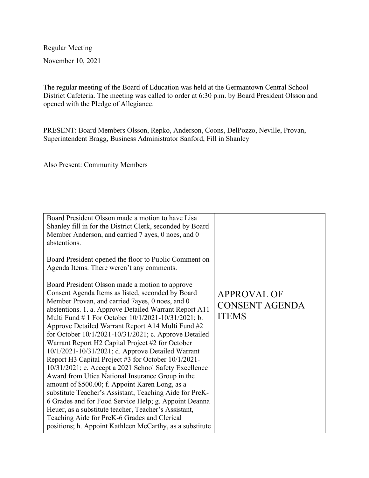Regular Meeting

November 10, 2021

The regular meeting of the Board of Education was held at the Germantown Central School District Cafeteria. The meeting was called to order at 6:30 p.m. by Board President Olsson and opened with the Pledge of Allegiance.

PRESENT: Board Members Olsson, Repko, Anderson, Coons, DelPozzo, Neville, Provan, Superintendent Bragg, Business Administrator Sanford, Fill in Shanley

Also Present: Community Members

| Board President Olsson made a motion to have Lisa<br>Shanley fill in for the District Clerk, seconded by Board<br>Member Anderson, and carried 7 ayes, 0 noes, and 0<br>abstentions.                                                                                                                                                                                                                                                                                                                                                                                                                                                                                                                                                                                                                                                                                                                                                                                                                                |                                                             |
|---------------------------------------------------------------------------------------------------------------------------------------------------------------------------------------------------------------------------------------------------------------------------------------------------------------------------------------------------------------------------------------------------------------------------------------------------------------------------------------------------------------------------------------------------------------------------------------------------------------------------------------------------------------------------------------------------------------------------------------------------------------------------------------------------------------------------------------------------------------------------------------------------------------------------------------------------------------------------------------------------------------------|-------------------------------------------------------------|
| Board President opened the floor to Public Comment on<br>Agenda Items. There weren't any comments.                                                                                                                                                                                                                                                                                                                                                                                                                                                                                                                                                                                                                                                                                                                                                                                                                                                                                                                  |                                                             |
| Board President Olsson made a motion to approve<br>Consent Agenda Items as listed, seconded by Board<br>Member Provan, and carried 7ayes, 0 noes, and 0<br>abstentions. 1. a. Approve Detailed Warrant Report A11<br>Multi Fund # 1 For October 10/1/2021-10/31/2021; b.<br>Approve Detailed Warrant Report A14 Multi Fund #2<br>for October $10/1/2021 - 10/31/2021$ ; c. Approve Detailed<br>Warrant Report H2 Capital Project #2 for October<br>10/1/2021-10/31/2021; d. Approve Detailed Warrant<br>Report H3 Capital Project #3 for October 10/1/2021-<br>10/31/2021; e. Accept a 2021 School Safety Excellence<br>Award from Utica National Insurance Group in the<br>amount of \$500.00; f. Appoint Karen Long, as a<br>substitute Teacher's Assistant, Teaching Aide for PreK-<br>6 Grades and for Food Service Help; g. Appoint Deanna<br>Heuer, as a substitute teacher, Teacher's Assistant,<br>Teaching Aide for PreK-6 Grades and Clerical<br>positions; h. Appoint Kathleen McCarthy, as a substitute | <b>APPROVAL OF</b><br><b>CONSENT AGENDA</b><br><b>ITEMS</b> |
|                                                                                                                                                                                                                                                                                                                                                                                                                                                                                                                                                                                                                                                                                                                                                                                                                                                                                                                                                                                                                     |                                                             |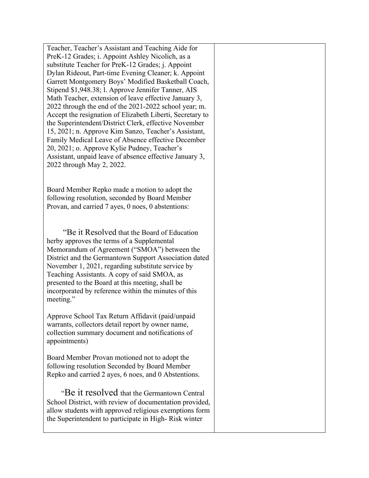Teacher, Teacher's Assistant and Teaching Aide for PreK-12 Grades; i. Appoint Ashley Nicolich, as a substitute Teacher for PreK-12 Grades; j. Appoint Dylan Rideout, Part-time Evening Cleaner; k. Appoint Garrett Montgomery Boys' Modified Basketball Coach, Stipend \$1,948.38; l. Approve Jennifer Tanner, AIS Math Teacher, extension of leave effective January 3, 2022 through the end of the 2021-2022 school year; m. Accept the resignation of Elizabeth Liberti, Secretary to the Superintendent/District Clerk, effective November 15, 2021; n. Approve Kim Sanzo, Teacher's Assistant, Family Medical Leave of Absence effective December 20, 2021; o. Approve Kylie Pudney, Teacher's Assistant, unpaid leave of absence effective January 3, 2022 through May 2, 2022. Board Member Repko made a motion to adopt the following resolution, seconded by Board Member Provan, and carried 7 ayes, 0 noes, 0 abstentions: "Be it Resolved that the Board of Education herby approves the terms of a Supplemental Memorandum of Agreement ("SMOA") between the District and the Germantown Support Association dated November 1, 2021, regarding substitute service by Teaching Assistants. A copy of said SMOA, as presented to the Board at this meeting, shall be incorporated by reference within the minutes of this meeting." Approve School Tax Return Affidavit (paid/unpaid warrants, collectors detail report by owner name, collection summary document and notifications of appointments) Board Member Provan motioned not to adopt the following resolution Seconded by Board Member Repko and carried 2 ayes, 6 noes, and 0 Abstentions. "Be it resolved that the Germantown Central School District, with review of documentation provided, allow students with approved religious exemptions form the Superintendent to participate in High- Risk winter